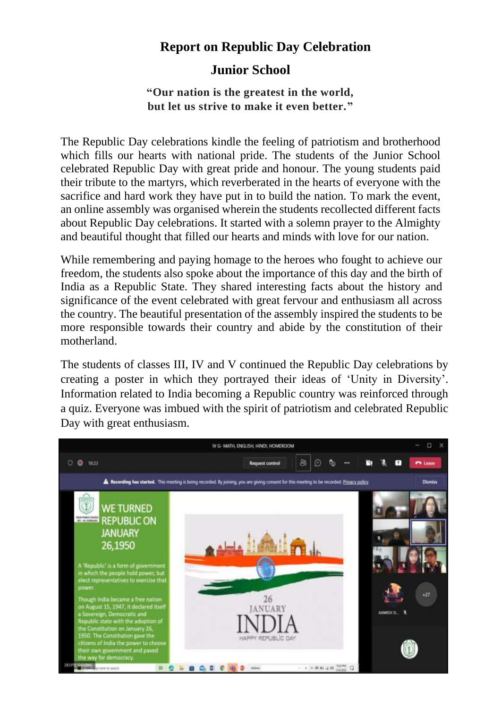## **Report on Republic Day Celebration**

## **Junior School**

**"Our nation is the greatest in the world, but let us strive to make it even better."**

The Republic Day celebrations kindle the feeling of patriotism and brotherhood which fills our hearts with national pride. The students of the Junior School celebrated Republic Day with great pride and honour. The young students paid their tribute to the martyrs, which reverberated in the hearts of everyone with the sacrifice and hard work they have put in to build the nation. To mark the event, an online assembly was organised wherein the students recollected different facts about Republic Day celebrations. It started with a solemn prayer to the Almighty and beautiful thought that filled our hearts and minds with love for our nation.

While remembering and paying homage to the heroes who fought to achieve our freedom, the students also spoke about the importance of this day and the birth of India as a Republic State. They shared interesting facts about the history and significance of the event celebrated with great fervour and enthusiasm all across the country. The beautiful presentation of the assembly inspired the students to be more responsible towards their country and abide by the constitution of their motherland.

The students of classes III, IV and V continued the Republic Day celebrations by creating a poster in which they portrayed their ideas of 'Unity in Diversity'. Information related to India becoming a Republic country was reinforced through a quiz. Everyone was imbued with the spirit of patriotism and celebrated Republic Day with great enthusiasm.